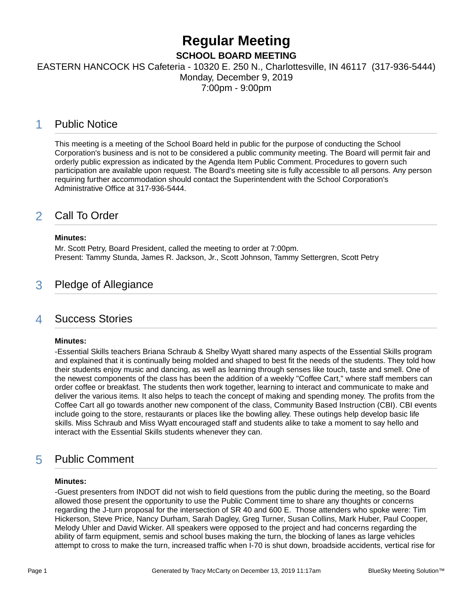# **Regular Meeting SCHOOL BOARD MEETING**

### EASTERN HANCOCK HS Cafeteria - 10320 E. 250 N., Charlottesville, IN 46117 (317-936-5444) Monday, December 9, 2019 7:00pm - 9:00pm

### 1 Public Notice

This meeting is a meeting of the School Board held in public for the purpose of conducting the School Corporation's business and is not to be considered a public community meeting. The Board will permit fair and orderly public expression as indicated by the Agenda Item Public Comment. Procedures to govern such participation are available upon request. The Board's meeting site is fully accessible to all persons. Any person requiring further accommodation should contact the Superintendent with the School Corporation's Administrative Office at 317-936-5444.

## 2 Call To Order

#### **Minutes:**

Mr. Scott Petry, Board President, called the meeting to order at 7:00pm. Present: Tammy Stunda, James R. Jackson, Jr., Scott Johnson, Tammy Settergren, Scott Petry

## 3 Pledge of Allegiance

### 4 Success Stories

#### **Minutes:**

-Essential Skills teachers Briana Schraub & Shelby Wyatt shared many aspects of the Essential Skills program and explained that it is continually being molded and shaped to best fit the needs of the students. They told how their students enjoy music and dancing, as well as learning through senses like touch, taste and smell. One of the newest components of the class has been the addition of a weekly "Coffee Cart," where staff members can order coffee or breakfast. The students then work together, learning to interact and communicate to make and deliver the various items. It also helps to teach the concept of making and spending money. The profits from the Coffee Cart all go towards another new component of the class, Community Based Instruction (CBI). CBI events include going to the store, restaurants or places like the bowling alley. These outings help develop basic life skills. Miss Schraub and Miss Wyatt encouraged staff and students alike to take a moment to say hello and interact with the Essential Skills students whenever they can.

# 5 Public Comment

#### **Minutes:**

-Guest presenters from INDOT did not wish to field questions from the public during the meeting, so the Board allowed those present the opportunity to use the Public Comment time to share any thoughts or concerns regarding the J-turn proposal for the intersection of SR 40 and 600 E. Those attenders who spoke were: Tim Hickerson, Steve Price, Nancy Durham, Sarah Dagley, Greg Turner, Susan Collins, Mark Huber, Paul Cooper, Melody Uhler and David Wicker. All speakers were opposed to the project and had concerns regarding the ability of farm equipment, semis and school buses making the turn, the blocking of lanes as large vehicles attempt to cross to make the turn, increased traffic when I-70 is shut down, broadside accidents, vertical rise for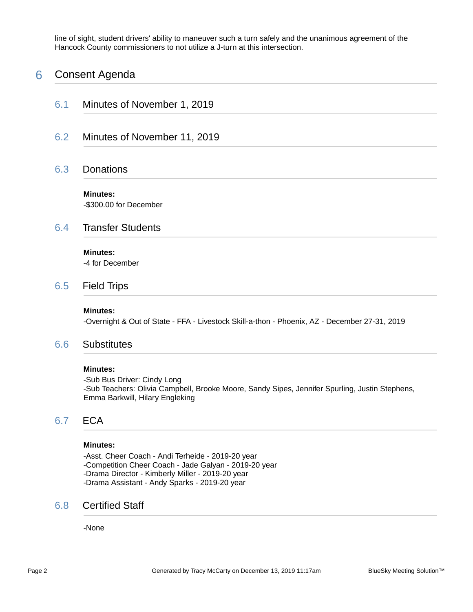line of sight, student drivers' ability to maneuver such a turn safely and the unanimous agreement of the Hancock County commissioners to not utilize a J-turn at this intersection.

## 6 Consent Agenda

- 6.1 Minutes of November 1, 2019
- 6.2 Minutes of November 11, 2019

### 6.3 Donations

**Minutes:** -\$300.00 for December

### 6.4 Transfer Students

#### **Minutes:**

-4 for December

### 6.5 Field Trips

#### **Minutes:**

-Overnight & Out of State - FFA - Livestock Skill-a-thon - Phoenix, AZ - December 27-31, 2019

### 6.6 Substitutes

#### **Minutes:**

-Sub Bus Driver: Cindy Long -Sub Teachers: Olivia Campbell, Brooke Moore, Sandy Sipes, Jennifer Spurling, Justin Stephens, Emma Barkwill, Hilary Engleking

### 6.7 ECA

#### **Minutes:**

-Asst. Cheer Coach - Andi Terheide - 2019-20 year -Competition Cheer Coach - Jade Galyan - 2019-20 year -Drama Director - Kimberly Miller - 2019-20 year -Drama Assistant - Andy Sparks - 2019-20 year

### 6.8 Certified Staff

-None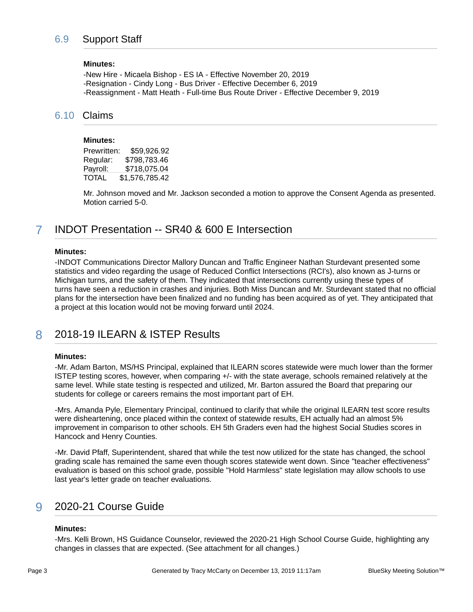#### **Minutes:**

-New Hire - Micaela Bishop - ES IA - Effective November 20, 2019 -Resignation - Cindy Long - Bus Driver - Effective December 6, 2019 -Reassignment - Matt Heath - Full-time Bus Route Driver - Effective December 9, 2019

### 6.10 Claims

#### **Minutes:**

Prewritten: \$59,926.92 Regular: \$798,783.46 Payroll: \$718,075.04 TOTAL \$1,576,785.42

Mr. Johnson moved and Mr. Jackson seconded a motion to approve the Consent Agenda as presented. Motion carried 5-0.

## 7 INDOT Presentation -- SR40 & 600 E Intersection

#### **Minutes:**

-INDOT Communications Director Mallory Duncan and Traffic Engineer Nathan Sturdevant presented some statistics and video regarding the usage of Reduced Conflict Intersections (RCI's), also known as J-turns or Michigan turns, and the safety of them. They indicated that intersections currently using these types of turns have seen a reduction in crashes and injuries. Both Miss Duncan and Mr. Sturdevant stated that no official plans for the intersection have been finalized and no funding has been acquired as of yet. They anticipated that a project at this location would not be moving forward until 2024.

## 8 2018-19 ILEARN & ISTEP Results

#### **Minutes:**

-Mr. Adam Barton, MS/HS Principal, explained that ILEARN scores statewide were much lower than the former ISTEP testing scores, however, when comparing +/- with the state average, schools remained relatively at the same level. While state testing is respected and utilized, Mr. Barton assured the Board that preparing our students for college or careers remains the most important part of EH.

-Mrs. Amanda Pyle, Elementary Principal, continued to clarify that while the original ILEARN test score results were disheartening, once placed within the context of statewide results, EH actually had an almost 5% improvement in comparison to other schools. EH 5th Graders even had the highest Social Studies scores in Hancock and Henry Counties.

-Mr. David Pfaff, Superintendent, shared that while the test now utilized for the state has changed, the school grading scale has remained the same even though scores statewide went down. Since "teacher effectiveness" evaluation is based on this school grade, possible "Hold Harmless" state legislation may allow schools to use last year's letter grade on teacher evaluations.

## 9 2020-21 Course Guide

#### **Minutes:**

-Mrs. Kelli Brown, HS Guidance Counselor, reviewed the 2020-21 High School Course Guide, highlighting any changes in classes that are expected. (See attachment for all changes.)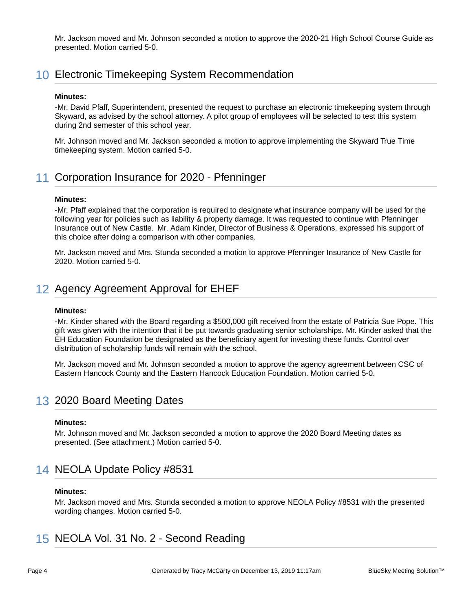Mr. Jackson moved and Mr. Johnson seconded a motion to approve the 2020-21 High School Course Guide as presented. Motion carried 5-0.

## 10 Electronic Timekeeping System Recommendation

#### **Minutes:**

-Mr. David Pfaff, Superintendent, presented the request to purchase an electronic timekeeping system through Skyward, as advised by the school attorney. A pilot group of employees will be selected to test this system during 2nd semester of this school year.

Mr. Johnson moved and Mr. Jackson seconded a motion to approve implementing the Skyward True Time timekeeping system. Motion carried 5-0.

## 11 Corporation Insurance for 2020 - Pfenninger

#### **Minutes:**

-Mr. Pfaff explained that the corporation is required to designate what insurance company will be used for the following year for policies such as liability & property damage. It was requested to continue with Pfenninger Insurance out of New Castle. Mr. Adam Kinder, Director of Business & Operations, expressed his support of this choice after doing a comparison with other companies.

Mr. Jackson moved and Mrs. Stunda seconded a motion to approve Pfenninger Insurance of New Castle for 2020. Motion carried 5-0.

## 12 Agency Agreement Approval for EHEF

#### **Minutes:**

-Mr. Kinder shared with the Board regarding a \$500,000 gift received from the estate of Patricia Sue Pope. This gift was given with the intention that it be put towards graduating senior scholarships. Mr. Kinder asked that the EH Education Foundation be designated as the beneficiary agent for investing these funds. Control over distribution of scholarship funds will remain with the school.

Mr. Jackson moved and Mr. Johnson seconded a motion to approve the agency agreement between CSC of Eastern Hancock County and the Eastern Hancock Education Foundation. Motion carried 5-0.

### 13 2020 Board Meeting Dates

#### **Minutes:**

Mr. Johnson moved and Mr. Jackson seconded a motion to approve the 2020 Board Meeting dates as presented. (See attachment.) Motion carried 5-0.

## 14 NEOLA Update Policy #8531

#### **Minutes:**

Mr. Jackson moved and Mrs. Stunda seconded a motion to approve NEOLA Policy #8531 with the presented wording changes. Motion carried 5-0.

### 15 NEOLA Vol. 31 No. 2 - Second Reading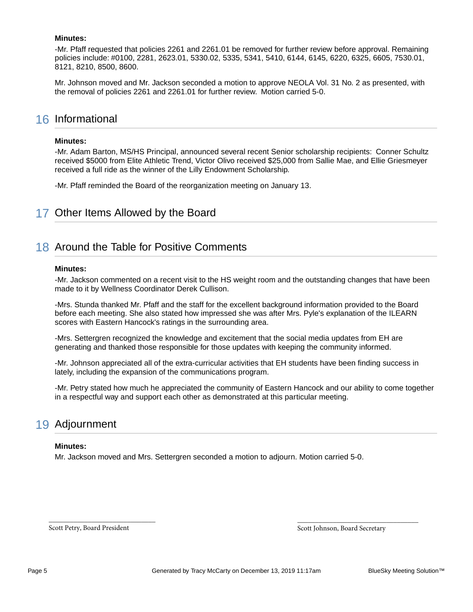#### **Minutes:**

-Mr. Pfaff requested that policies 2261 and 2261.01 be removed for further review before approval. Remaining policies include: #0100, 2281, 2623.01, 5330.02, 5335, 5341, 5410, 6144, 6145, 6220, 6325, 6605, 7530.01, 8121, 8210, 8500, 8600.

Mr. Johnson moved and Mr. Jackson seconded a motion to approve NEOLA Vol. 31 No. 2 as presented, with the removal of policies 2261 and 2261.01 for further review. Motion carried 5-0.

### 16 Informational

#### **Minutes:**

-Mr. Adam Barton, MS/HS Principal, announced several recent Senior scholarship recipients: Conner Schultz received \$5000 from Elite Athletic Trend, Victor Olivo received \$25,000 from Sallie Mae, and Ellie Griesmeyer received a full ride as the winner of the Lilly Endowment Scholarship.

-Mr. Pfaff reminded the Board of the reorganization meeting on January 13.

### 17 Other Items Allowed by the Board

### 18 Around the Table for Positive Comments

#### **Minutes:**

-Mr. Jackson commented on a recent visit to the HS weight room and the outstanding changes that have been made to it by Wellness Coordinator Derek Cullison.

-Mrs. Stunda thanked Mr. Pfaff and the staff for the excellent background information provided to the Board before each meeting. She also stated how impressed she was after Mrs. Pyle's explanation of the ILEARN scores with Eastern Hancock's ratings in the surrounding area.

-Mrs. Settergren recognized the knowledge and excitement that the social media updates from EH are generating and thanked those responsible for those updates with keeping the community informed.

-Mr. Johnson appreciated all of the extra-curricular activities that EH students have been finding success in lately, including the expansion of the communications program.

-Mr. Petry stated how much he appreciated the community of Eastern Hancock and our ability to come together in a respectful way and support each other as demonstrated at this particular meeting.

## 19 Adjournment

#### **Minutes:**

Mr. Jackson moved and Mrs. Settergren seconded a motion to adjourn. Motion carried 5-0.

Scott Petry, Board President

\_\_\_\_\_\_\_\_\_\_\_\_\_\_\_\_\_\_\_\_\_\_\_\_\_\_\_\_\_\_

Scott Johnson, Board Secretary

\_\_\_\_\_\_\_\_\_\_\_\_\_\_\_\_\_\_\_\_\_\_\_\_\_\_\_\_\_\_\_\_\_\_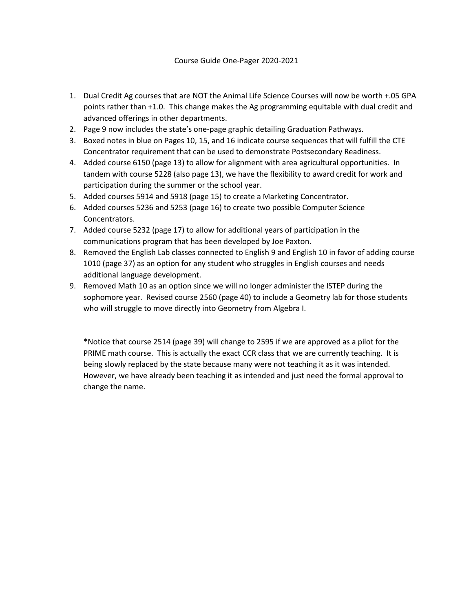- 1. Dual Credit Ag courses that are NOT the Animal Life Science Courses will now be worth +.05 GPA points rather than +1.0. This change makes the Ag programming equitable with dual credit and advanced offerings in other departments.
- 2. Page 9 now includes the state's one-page graphic detailing Graduation Pathways.
- 3. Boxed notes in blue on Pages 10, 15, and 16 indicate course sequences that will fulfill the CTE Concentrator requirement that can be used to demonstrate Postsecondary Readiness.
- 4. Added course 6150 (page 13) to allow for alignment with area agricultural opportunities. In tandem with course 5228 (also page 13), we have the flexibility to award credit for work and participation during the summer or the school year.
- 5. Added courses 5914 and 5918 (page 15) to create a Marketing Concentrator.
- 6. Added courses 5236 and 5253 (page 16) to create two possible Computer Science Concentrators.
- 7. Added course 5232 (page 17) to allow for additional years of participation in the communications program that has been developed by Joe Paxton.
- 8. Removed the English Lab classes connected to English 9 and English 10 in favor of adding course 1010 (page 37) as an option for any student who struggles in English courses and needs additional language development.
- 9. Removed Math 10 as an option since we will no longer administer the ISTEP during the sophomore year. Revised course 2560 (page 40) to include a Geometry lab for those students who will struggle to move directly into Geometry from Algebra I.

\*Notice that course 2514 (page 39) will change to 2595 if we are approved as a pilot for the PRIME math course. This is actually the exact CCR class that we are currently teaching. It is being slowly replaced by the state because many were not teaching it as it was intended. However, we have already been teaching it as intended and just need the formal approval to change the name.